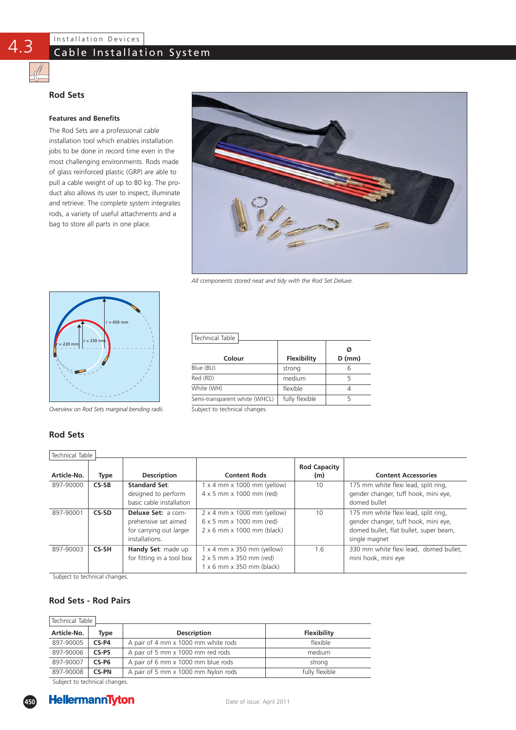# Cable Installation System

## **Rod Sets**

4.3

### **Features and Benefits**

The Rod Sets are a professional cable installation tool which enables installation jobs to be done in record time even in the most challenging environments. Rods made of glass reinforced plastic (GRP) are able to pull a cable weight of up to 80 kg. The product also allows its user to inspect, illuminate and retrieve. The complete system integrates rods, a variety of useful attachments and a bag to store all parts in one place.



*All components stored neat and tidy with the Rod Set Deluxe.*



*Overview on Rod Sets marginal bending radii.* 

# **Rod Sets**

Technical Table

| Technical Table               |                    |               |
|-------------------------------|--------------------|---------------|
| Colour                        | <b>Flexibility</b> | Ø<br>$D$ (mm) |
| Blue (BU)                     | strong             |               |
| Red (RD)                      | medium             | 5             |
| White (WH)                    | flexible           |               |
| Semi-transparent white (WHCL) | fully flexible     | 5             |

Subject to technical changes.

| סטווונים ומטוכ |             |                                                                                                |                                                                                                                              |                            |                                                                                                                                         |
|----------------|-------------|------------------------------------------------------------------------------------------------|------------------------------------------------------------------------------------------------------------------------------|----------------------------|-----------------------------------------------------------------------------------------------------------------------------------------|
| Article-No.    | <b>Type</b> | <b>Description</b>                                                                             | <b>Content Rods</b>                                                                                                          | <b>Rod Capacity</b><br>(m) | <b>Content Accessories</b>                                                                                                              |
| 897-90000      | $CS-SB$     | <b>Standard Set:</b><br>designed to perform<br>basic cable installation                        | $1 \times 4$ mm $\times$ 1000 mm (yellow)<br>$4 \times 5$ mm $\times$ 1000 mm (red)                                          | 10                         | 175 mm white flexi lead, split ring,<br>gender changer, tuff hook, mini eye,<br>domed bullet                                            |
| 897-90001      | CS-SD       | <b>Deluxe Set: a com-</b><br>prehensive set aimed<br>for carrying out larger<br>installations. | $2 \times 4$ mm $\times$ 1000 mm (yellow)<br>6 x 5 mm x 1000 mm (red)<br>$2 \times 6$ mm $\times$ 1000 mm (black)            | 10                         | 175 mm white flexi lead, split ring,<br>gender changer, tuff hook, mini eye,<br>domed bullet, flat bullet, super beam,<br>single magnet |
| 897-90003      | CS-SH       | Handy Set: made up<br>for fitting in a tool box                                                | $1 \times 4$ mm $\times$ 350 mm (yellow)<br>$2 \times 5$ mm $\times$ 350 mm (red)<br>$1 \times 6$ mm $\times$ 350 mm (black) | 1.6                        | 330 mm white flexi lead, domed bullet,<br>mini hook, mini eye                                                                           |

Subject to technical changes.

### **Rod Sets - Rod Pairs**

| Technical Table |              |                                     |                |
|-----------------|--------------|-------------------------------------|----------------|
| Article-No.     | Type         | <b>Description</b>                  | Flexibility    |
| 897-90005       | $CS-P4$      | A pair of 4 mm x 1000 mm white rods | flexible       |
| 897-90006       | $CS-P5$      | A pair of 5 mm x 1000 mm red rods   | medium         |
| 897-90007       | $CS-P6$      | A pair of 6 mm x 1000 mm blue rods  | strong         |
| 897-90008       | <b>CS-PN</b> | A pair of 5 mm x 1000 mm Nylon rods | fully flexible |

Subject to technical changes.

**450**